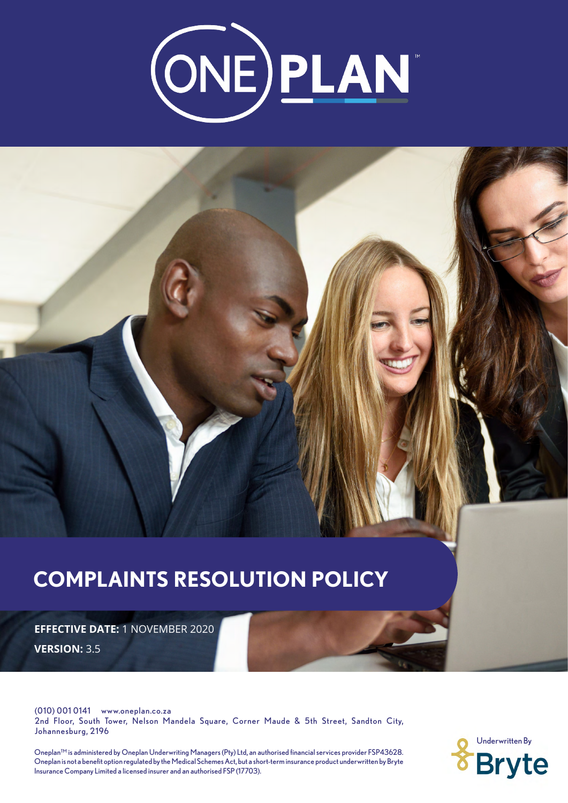

# **COMPLAINTS RESOLUTION POLICY EFFECTIVE DATE:** 1 NOVEMBER 2020 **VERSION:** 3.5

(010) 001 0141 www.oneplan.co.za 2nd Floor, South Tower, Nelson Mandela Square, Corner Maude & 5th Street, Sandton City, Johannesburg, 2196

Insurance Company Limited a licensed insurer and an authorised FSP (17703). Oneplan™ is administered by Oneplan Underwriting Managers (Pty) Ltd, an authorised financial services provider FSP43628. Oneplan is not a benefit option regulated by the Medical Schemes Act, but a short-term insurance product underwritten by Bryte

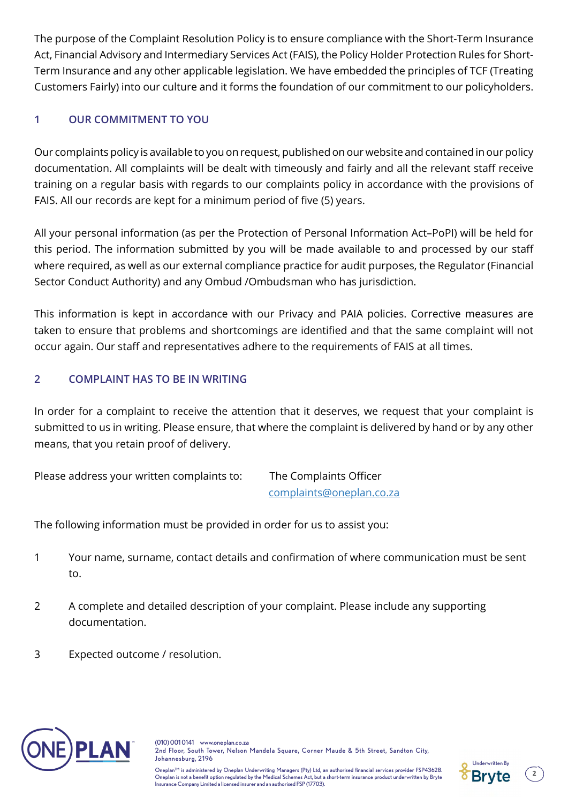The purpose of the Complaint Resolution Policy is to ensure compliance with the Short-Term Insurance Act, Financial Advisory and Intermediary Services Act (FAIS), the Policy Holder Protection Rules for Short-Term Insurance and any other applicable legislation. We have embedded the principles of TCF (Treating Customers Fairly) into our culture and it forms the foundation of our commitment to our policyholders.

# **1 OUR COMMITMENT TO YOU**

Our complaints policy is available to you on request, published on our website and contained in our policy documentation. All complaints will be dealt with timeously and fairly and all the relevant staff receive training on a regular basis with regards to our complaints policy in accordance with the provisions of FAIS. All our records are kept for a minimum period of five (5) years.

All your personal information (as per the Protection of Personal Information Act–PoPI) will be held for this period. The information submitted by you will be made available to and processed by our staff where required, as well as our external compliance practice for audit purposes, the Regulator (Financial Sector Conduct Authority) and any Ombud /Ombudsman who has jurisdiction.

This information is kept in accordance with our Privacy and PAIA policies. Corrective measures are taken to ensure that problems and shortcomings are identified and that the same complaint will not occur again. Our staff and representatives adhere to the requirements of FAIS at all times.

# **2 COMPLAINT HAS TO BE IN WRITING**

In order for a complaint to receive the attention that it deserves, we request that your complaint is submitted to us in writing. Please ensure, that where the complaint is delivered by hand or by any other means, that you retain proof of delivery.

Please address your written complaints to: The Complaints Officer

complaints@oneplan.co.za

The following information must be provided in order for us to assist you:

- 1 Your name, surname, contact details and confirmation of where communication must be sent to.
- 2 A complete and detailed description of your complaint. Please include any supporting documentation.
- 3 Expected outcome / resolution.





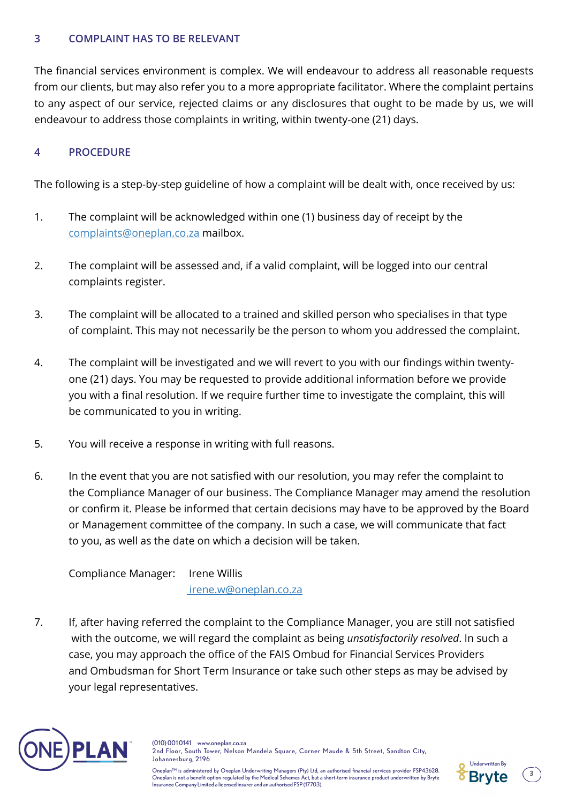## **3 COMPLAINT HAS TO BE RELEVANT**

The financial services environment is complex. We will endeavour to address all reasonable requests from our clients, but may also refer you to a more appropriate facilitator. Where the complaint pertains to any aspect of our service, rejected claims or any disclosures that ought to be made by us, we will endeavour to address those complaints in writing, within twenty-one (21) days.

### **4 PROCEDURE**

The following is a step-by-step guideline of how a complaint will be dealt with, once received by us:

- 1. The complaint will be acknowledged within one (1) business day of receipt by the complaints@oneplan.co.za mailbox.
- 2. The complaint will be assessed and, if a valid complaint, will be logged into our central complaints register.
- 3. The complaint will be allocated to a trained and skilled person who specialises in that type of complaint. This may not necessarily be the person to whom you addressed the complaint.
- 4. The complaint will be investigated and we will revert to you with our findings within twentyone (21) days. You may be requested to provide additional information before we provide you with a final resolution. If we require further time to investigate the complaint, this will be communicated to you in writing.
- 5. You will receive a response in writing with full reasons.
- 6. In the event that you are not satisfied with our resolution, you may refer the complaint to the Compliance Manager of our business. The Compliance Manager may amend the resolution or confirm it. Please be informed that certain decisions may have to be approved by the Board or Management committee of the company. In such a case, we will communicate that fact to you, as well as the date on which a decision will be taken.

Compliance Manager: Irene Willis irene.w@oneplan.co.za

7. If, after having referred the complaint to the Compliance Manager, you are still not satisfied with the outcome, we will regard the complaint as being *unsatisfactorily resolved*. In such a case, you may approach the office of the FAIS Ombud for Financial Services Providers and Ombudsman for Short Term Insurance or take such other steps as may be advised by your legal representatives.



(010) 001 0141 www.oneplan.co.za 2nd Floor, South Tower, Nelson Mandela Square, Corner Maude & 5th Street, Sandton City, Johannesburg, 2196